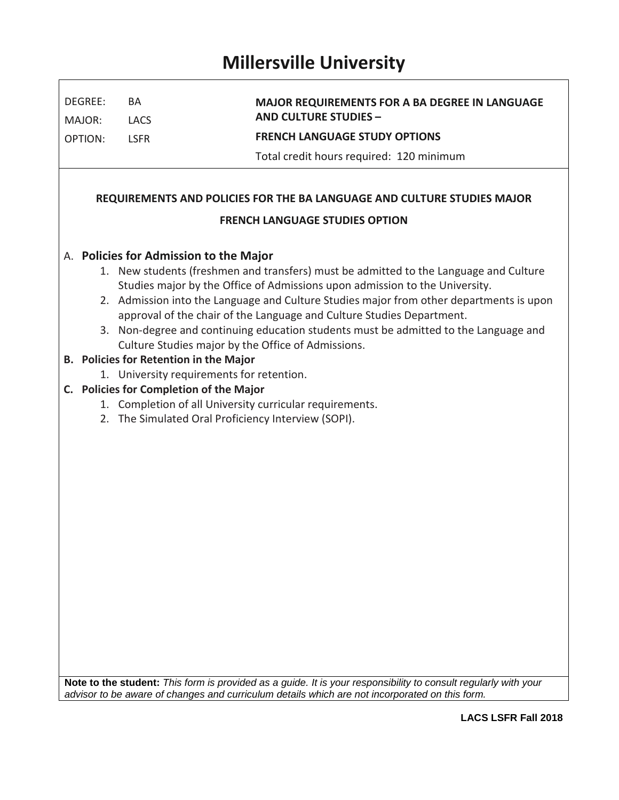## **Millersville University**

 $\overline{\Gamma}$ 

| DEGREE:<br>BA                                                                                                                                                                                                                                                                                                                                                                                                                                                                                                                                                                                                                                                                                                                                                                         |                            | <b>MAJOR REQUIREMENTS FOR A BA DEGREE IN LANGUAGE</b><br><b>AND CULTURE STUDIES -</b> |  |  |  |  |  |  |  |  |
|---------------------------------------------------------------------------------------------------------------------------------------------------------------------------------------------------------------------------------------------------------------------------------------------------------------------------------------------------------------------------------------------------------------------------------------------------------------------------------------------------------------------------------------------------------------------------------------------------------------------------------------------------------------------------------------------------------------------------------------------------------------------------------------|----------------------------|---------------------------------------------------------------------------------------|--|--|--|--|--|--|--|--|
| MAJOR:<br><b>OPTION:</b>                                                                                                                                                                                                                                                                                                                                                                                                                                                                                                                                                                                                                                                                                                                                                              | <b>LACS</b><br><b>LSFR</b> | <b>FRENCH LANGUAGE STUDY OPTIONS</b>                                                  |  |  |  |  |  |  |  |  |
|                                                                                                                                                                                                                                                                                                                                                                                                                                                                                                                                                                                                                                                                                                                                                                                       |                            | Total credit hours required: 120 minimum                                              |  |  |  |  |  |  |  |  |
|                                                                                                                                                                                                                                                                                                                                                                                                                                                                                                                                                                                                                                                                                                                                                                                       |                            |                                                                                       |  |  |  |  |  |  |  |  |
| REQUIREMENTS AND POLICIES FOR THE BA LANGUAGE AND CULTURE STUDIES MAJOR                                                                                                                                                                                                                                                                                                                                                                                                                                                                                                                                                                                                                                                                                                               |                            |                                                                                       |  |  |  |  |  |  |  |  |
| <b>FRENCH LANGUAGE STUDIES OPTION</b>                                                                                                                                                                                                                                                                                                                                                                                                                                                                                                                                                                                                                                                                                                                                                 |                            |                                                                                       |  |  |  |  |  |  |  |  |
| A. Policies for Admission to the Major<br>1. New students (freshmen and transfers) must be admitted to the Language and Culture<br>Studies major by the Office of Admissions upon admission to the University.<br>2. Admission into the Language and Culture Studies major from other departments is upon<br>approval of the chair of the Language and Culture Studies Department.<br>3. Non-degree and continuing education students must be admitted to the Language and<br>Culture Studies major by the Office of Admissions.<br>B. Policies for Retention in the Major<br>1. University requirements for retention.<br>C. Policies for Completion of the Major<br>1. Completion of all University curricular requirements.<br>2. The Simulated Oral Proficiency Interview (SOPI). |                            |                                                                                       |  |  |  |  |  |  |  |  |

**Note to the student:** *This form is provided as a guide. It is your responsibility to consult regularly with your advisor to be aware of changes and curriculum details which are not incorporated on this form.* 

٦